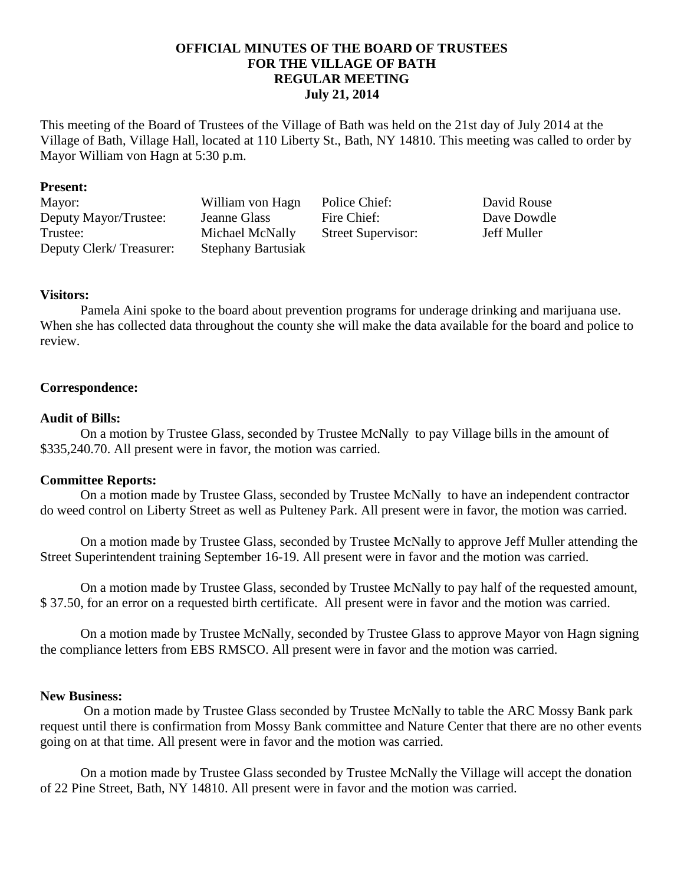# **OFFICIAL MINUTES OF THE BOARD OF TRUSTEES FOR THE VILLAGE OF BATH REGULAR MEETING July 21, 2014**

This meeting of the Board of Trustees of the Village of Bath was held on the 21st day of July 2014 at the Village of Bath, Village Hall, located at 110 Liberty St., Bath, NY 14810. This meeting was called to order by Mayor William von Hagn at 5:30 p.m.

#### **Present:**

Mayor: William von Hagn Police Chief: David Rouse Deputy Mayor/Trustee: Jeanne Glass Fire Chief: Dave Dowdle Trustee: Michael McNally Street Supervisor: Jeff Muller Deputy Clerk/ Treasurer: Stephany Bartusiak

# **Visitors:**

Pamela Aini spoke to the board about prevention programs for underage drinking and marijuana use. When she has collected data throughout the county she will make the data available for the board and police to review.

# **Correspondence:**

# **Audit of Bills:**

On a motion by Trustee Glass, seconded by Trustee McNally to pay Village bills in the amount of \$335,240.70. All present were in favor, the motion was carried.

# **Committee Reports:**

On a motion made by Trustee Glass, seconded by Trustee McNally to have an independent contractor do weed control on Liberty Street as well as Pulteney Park. All present were in favor, the motion was carried.

On a motion made by Trustee Glass, seconded by Trustee McNally to approve Jeff Muller attending the Street Superintendent training September 16-19. All present were in favor and the motion was carried.

On a motion made by Trustee Glass, seconded by Trustee McNally to pay half of the requested amount, \$ 37.50, for an error on a requested birth certificate. All present were in favor and the motion was carried.

On a motion made by Trustee McNally, seconded by Trustee Glass to approve Mayor von Hagn signing the compliance letters from EBS RMSCO. All present were in favor and the motion was carried.

#### **New Business:**

On a motion made by Trustee Glass seconded by Trustee McNally to table the ARC Mossy Bank park request until there is confirmation from Mossy Bank committee and Nature Center that there are no other events going on at that time. All present were in favor and the motion was carried.

On a motion made by Trustee Glass seconded by Trustee McNally the Village will accept the donation of 22 Pine Street, Bath, NY 14810. All present were in favor and the motion was carried.